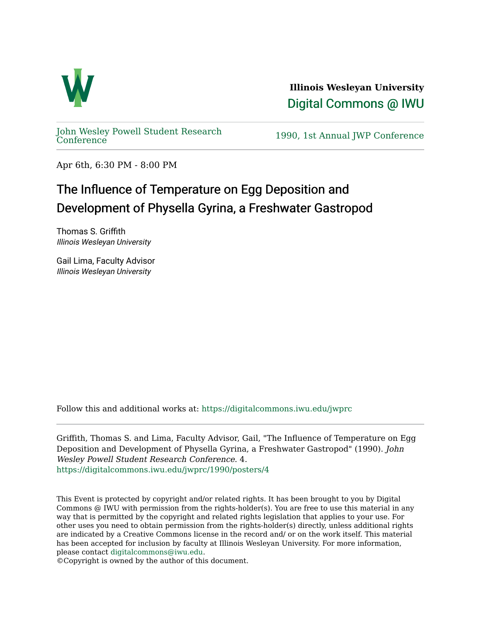

**Illinois Wesleyan University**  [Digital Commons @ IWU](https://digitalcommons.iwu.edu/) 

[John Wesley Powell Student Research](https://digitalcommons.iwu.edu/jwprc) 

1990, 1st Annual JWP [Conference](https://digitalcommons.iwu.edu/jwprc)

Apr 6th, 6:30 PM - 8:00 PM

## The Influence of Temperature on Egg Deposition and Development of Physella Gyrina, a Freshwater Gastropod

Thomas S. Griffith Illinois Wesleyan University

Gail Lima, Faculty Advisor Illinois Wesleyan University

Follow this and additional works at: [https://digitalcommons.iwu.edu/jwprc](https://digitalcommons.iwu.edu/jwprc?utm_source=digitalcommons.iwu.edu%2Fjwprc%2F1990%2Fposters%2F4&utm_medium=PDF&utm_campaign=PDFCoverPages) 

Griffith, Thomas S. and Lima, Faculty Advisor, Gail, "The Influence of Temperature on Egg Deposition and Development of Physella Gyrina, a Freshwater Gastropod" (1990). John Wesley Powell Student Research Conference. 4. [https://digitalcommons.iwu.edu/jwprc/1990/posters/4](https://digitalcommons.iwu.edu/jwprc/1990/posters/4?utm_source=digitalcommons.iwu.edu%2Fjwprc%2F1990%2Fposters%2F4&utm_medium=PDF&utm_campaign=PDFCoverPages) 

This Event is protected by copyright and/or related rights. It has been brought to you by Digital Commons @ IWU with permission from the rights-holder(s). You are free to use this material in any way that is permitted by the copyright and related rights legislation that applies to your use. For other uses you need to obtain permission from the rights-holder(s) directly, unless additional rights are indicated by a Creative Commons license in the record and/ or on the work itself. This material has been accepted for inclusion by faculty at Illinois Wesleyan University. For more information, please contact [digitalcommons@iwu.edu.](mailto:digitalcommons@iwu.edu)

©Copyright is owned by the author of this document.